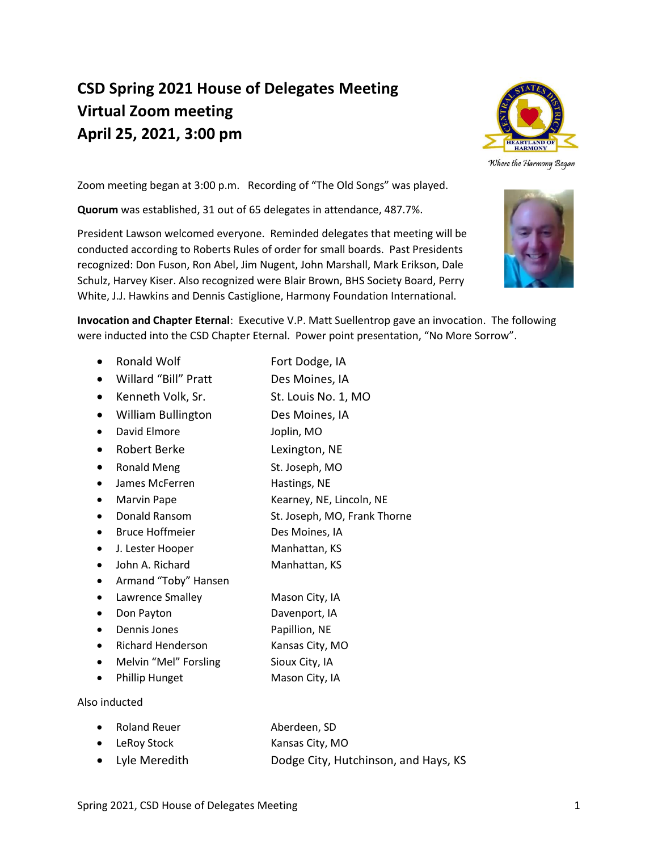# **CSD Spring 2021 House of Delegates Meeting Virtual Zoom meeting April 25, 2021, 3:00 pm**



Where the Harmony Began

Zoom meeting began at 3:00 p.m. Recording of "The Old Songs" was played.

**Quorum** was established, 31 out of 65 delegates in attendance, 487.7%.

President Lawson welcomed everyone. Reminded delegates that meeting will be conducted according to Roberts Rules of order for small boards. Past Presidents recognized: Don Fuson, Ron Abel, Jim Nugent, John Marshall, Mark Erikson, Dale Schulz, Harvey Kiser. Also recognized were Blair Brown, BHS Society Board, Perry White, J.J. Hawkins and Dennis Castiglione, Harmony Foundation International.



**Invocation and Chapter Eternal**: Executive V.P. Matt Suellentrop gave an invocation. The following were inducted into the CSD Chapter Eternal. Power point presentation, "No More Sorrow".

- Ronald Wolf Fort Dodge, IA
- Willard "Bill" Pratt Des Moines, IA
- Kenneth Volk, Sr. St. Louis No. 1, MO
- William Bullington Des Moines, IA
- David Elmore Joplin, MO
- Robert Berke Lexington, NE
- Ronald Meng St. Joseph, MO
- James McFerren Hastings, NE
- Marvin Pape Kearney, NE, Lincoln, NE
- Donald Ransom St. Joseph, MO, Frank Thorne
- Bruce Hoffmeier Des Moines, IA
- J. Lester Hooper Manhattan, KS
- John A. Richard Manhattan, KS
- Armand "Toby" Hansen
- Lawrence Smalley Mason City, IA
- Don Payton Davenport, IA
- **Dennis Jones** Papillion, NE
- Richard Henderson Kansas City, MO
- Melvin "Mel" Forsling Sioux City, IA
- Phillip Hunget Mason City, IA

Also inducted

| • Roland Reuer  | Aberdeen, SD                         |
|-----------------|--------------------------------------|
| • LeRoy Stock   | Kansas City, MO                      |
| • Lyle Meredith | Dodge City, Hutchinson, and Hays, KS |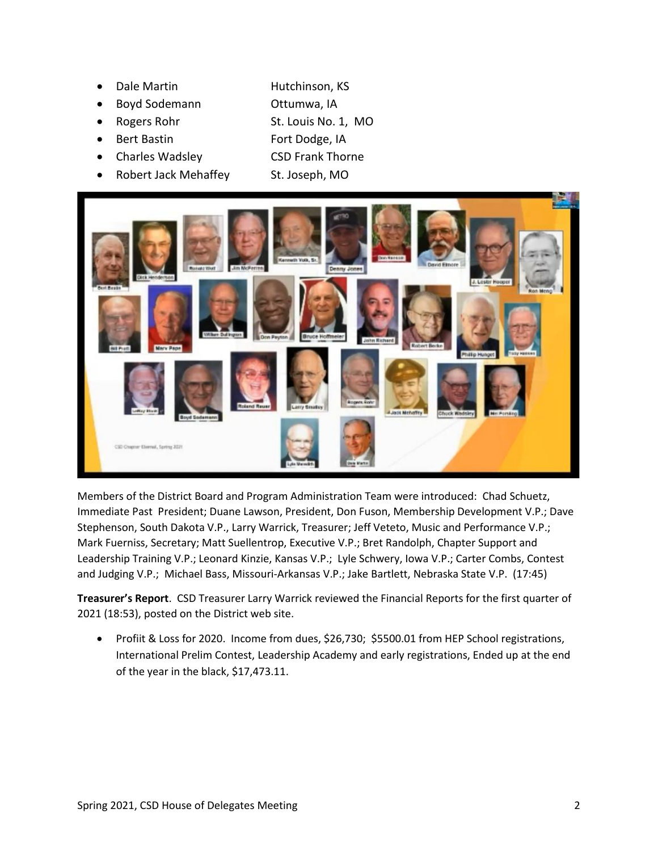- **Dale Martin Hutchinson, KS**
- Boyd Sodemann Ottumwa, IA
- Rogers Rohr St. Louis No. 1, MO
- 
- Charles Wadsley CSD Frank Thorne
- Robert Jack Mehaffey St. Joseph, MO
- **Part Bastin Fort Dodge, IA** 
	-



Members of the District Board and Program Administration Team were introduced: Chad Schuetz, Immediate Past President; Duane Lawson, President, Don Fuson, Membership Development V.P.; Dave Stephenson, South Dakota V.P., Larry Warrick, Treasurer; Jeff Veteto, Music and Performance V.P.; Mark Fuerniss, Secretary; Matt Suellentrop, Executive V.P.; Bret Randolph, Chapter Support and Leadership Training V.P.; Leonard Kinzie, Kansas V.P.; Lyle Schwery, Iowa V.P.; Carter Combs, Contest and Judging V.P.; Michael Bass, Missouri-Arkansas V.P.; Jake Bartlett, Nebraska State V.P. (17:45)

**Treasurer's Report**. CSD Treasurer Larry Warrick reviewed the Financial Reports for the first quarter of 2021 (18:53), posted on the District web site.

• Profiit & Loss for 2020. Income from dues, \$26,730; \$5500.01 from HEP School registrations, International Prelim Contest, Leadership Academy and early registrations, Ended up at the end of the year in the black, \$17,473.11.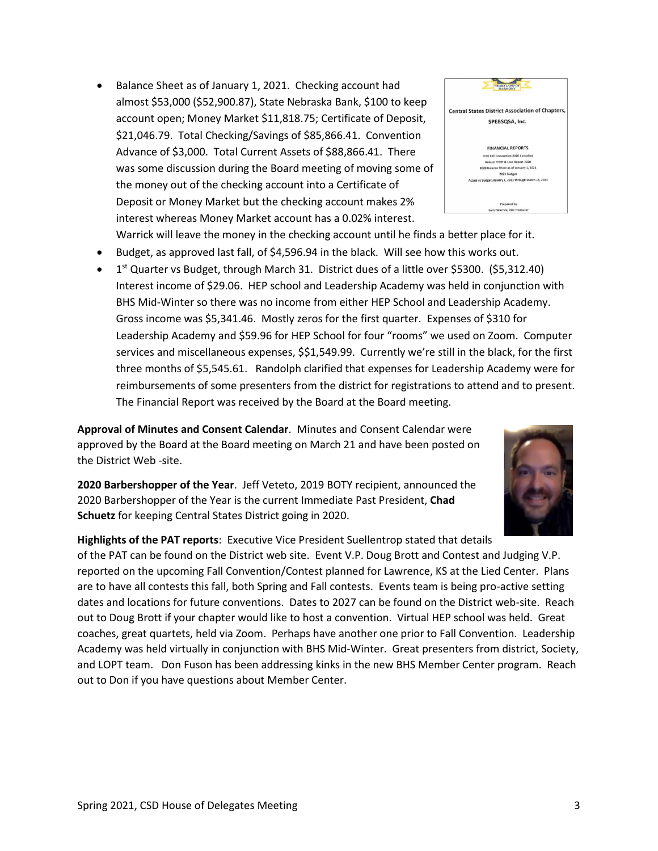- Balance Sheet as of January 1, 2021. Checking account had almost \$53,000 (\$52,900.87), State Nebraska Bank, \$100 to keep account open; Money Market \$11,818.75; Certificate of Deposit, \$21,046.79. Total Checking/Savings of \$85,866.41. Convention Advance of \$3,000. Total Current Assets of \$88,866.41. There was some discussion during the Board meeting of moving some of the money out of the checking account into a Certificate of Deposit or Money Market but the checking account makes 2% interest whereas Money Market account has a 0.02% interest.
	- Warrick will leave the money in the checking account until he finds a better place for it.
- Budget, as approved last fall, of \$4,596.94 in the black. Will see how this works out.
- 1<sup>st</sup> Quarter vs Budget, through March 31. District dues of a little over \$5300. (\$5,312.40) Interest income of \$29.06. HEP school and Leadership Academy was held in conjunction with BHS Mid-Winter so there was no income from either HEP School and Leadership Academy. Gross income was \$5,341.46. Mostly zeros for the first quarter. Expenses of \$310 for Leadership Academy and \$59.96 for HEP School for four "rooms" we used on Zoom. Computer services and miscellaneous expenses, \$\$1,549.99. Currently we're still in the black, for the first three months of \$5,545.61. Randolph clarified that expenses for Leadership Academy were for reimbursements of some presenters from the district for registrations to attend and to present. The Financial Report was received by the Board at the Board meeting.

**Approval of Minutes and Consent Calendar**. Minutes and Consent Calendar were approved by the Board at the Board meeting on March 21 and have been posted on the District Web -site.

**2020 Barbershopper of the Year**. Jeff Veteto, 2019 BOTY recipient, announced the 2020 Barbershopper of the Year is the current Immediate Past President, **Chad Schuetz** for keeping Central States District going in 2020.

**Highlights of the PAT reports**: Executive Vice President Suellentrop stated that details of the PAT can be found on the District web site. Event V.P. Doug Brott and Contest and Judging V.P. reported on the upcoming Fall Convention/Contest planned for Lawrence, KS at the Lied Center. Plans are to have all contests this fall, both Spring and Fall contests. Events team is being pro-active setting dates and locations for future conventions. Dates to 2027 can be found on the District web-site. Reach out to Doug Brott if your chapter would like to host a convention. Virtual HEP school was held. Great coaches, great quartets, held via Zoom. Perhaps have another one prior to Fall Convention. Leadership Academy was held virtually in conjunction with BHS Mid-Winter. Great presenters from district, Society, and LOPT team. Don Fuson has been addressing kinks in the new BHS Member Center program. Reach out to Don if you have questions about Member Center.



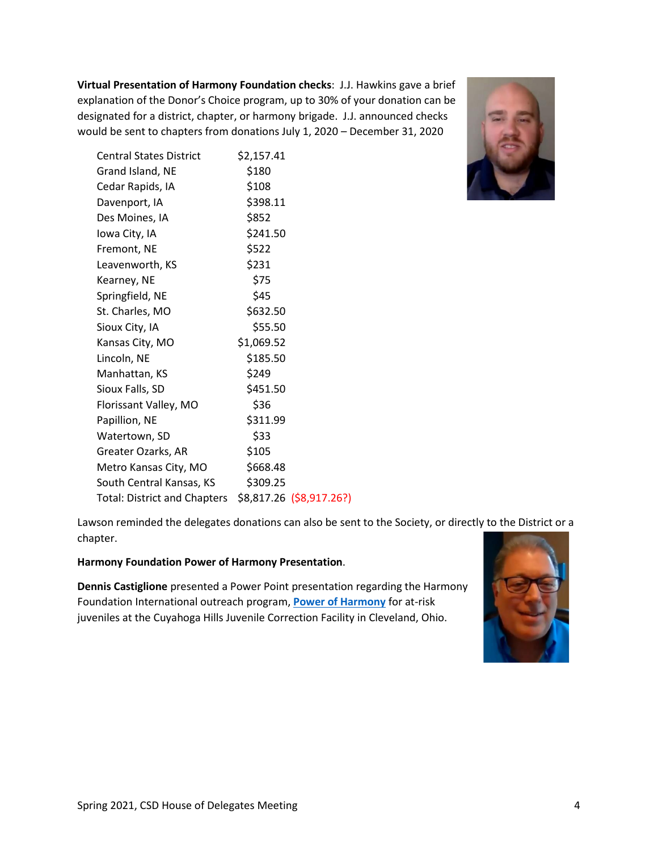**Virtual Presentation of Harmony Foundation checks**: J.J. Hawkins gave a brief explanation of the Donor's Choice program, up to 30% of your donation can be designated for a district, chapter, or harmony brigade. J.J. announced checks would be sent to chapters from donations July 1, 2020 – December 31, 2020



| <b>Central States District</b> | \$2,157.41 |                          |
|--------------------------------|------------|--------------------------|
| Grand Island, NE               | \$180      |                          |
| Cedar Rapids, IA               | \$108      |                          |
| Davenport, IA                  | \$398.11   |                          |
| Des Moines, IA                 | \$852      |                          |
| Iowa City, IA                  | \$241.50   |                          |
| Fremont, NE                    | \$522      |                          |
| Leavenworth, KS                | \$231      |                          |
| Kearney, NE                    | \$75       |                          |
| Springfield, NE                | \$45       |                          |
| St. Charles, MO                | \$632.50   |                          |
| Sioux City, IA                 | \$55.50    |                          |
| Kansas City, MO                | \$1,069.52 |                          |
| Lincoln, NE                    | \$185.50   |                          |
| Manhattan, KS                  | \$249      |                          |
| Sioux Falls, SD                | \$451.50   |                          |
| Florissant Valley, MO          | \$36       |                          |
| Papillion, NE                  | \$311.99   |                          |
| Watertown, SD                  | \$33       |                          |
| Greater Ozarks, AR             | \$105      |                          |
| Metro Kansas City, MO          | \$668.48   |                          |
| South Central Kansas, KS       | \$309.25   |                          |
| Total: District and Chapters   |            | \$8,817.26 (\$8,917.26?) |

Lawson reminded the delegates donations can also be sent to the Society, or directly to the District or a chapter.

#### **Harmony Foundation Power of Harmony Presentation**.

**Dennis Castiglione** presented a Power Point presentation regarding the Harmony Foundation International outreach program, **[Power of Harmony](https://www.harmonyfoundation.org/power-of-harmony)** for at-risk juveniles at the Cuyahoga Hills Juvenile Correction Facility in Cleveland, Ohio.

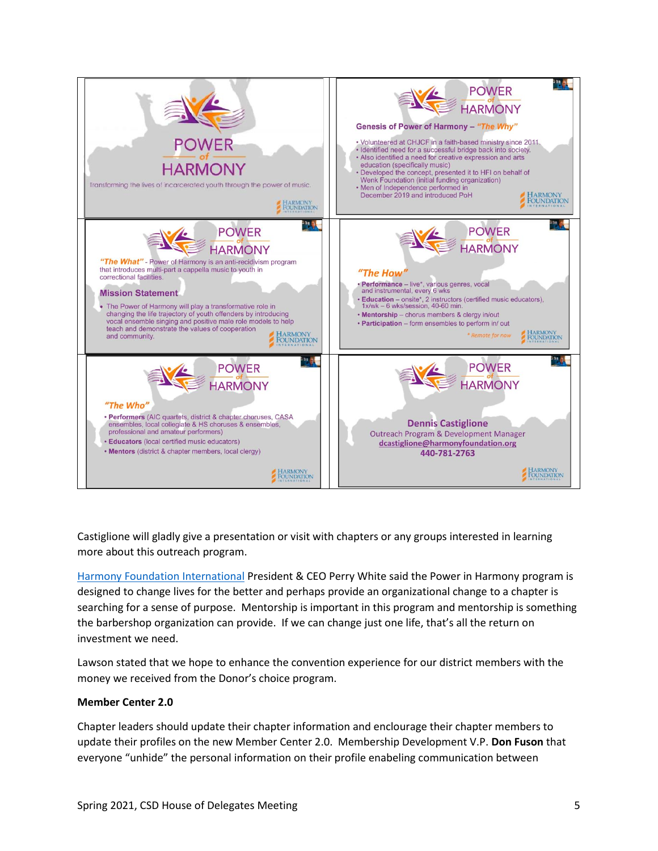

Castiglione will gladly give a presentation or visit with chapters or any groups interested in learning more about this outreach program.

[Harmony Foundation](https://www.harmonyfoundation.org/) International President & CEO Perry White said the Power in Harmony program is designed to change lives for the better and perhaps provide an organizational change to a chapter is searching for a sense of purpose. Mentorship is important in this program and mentorship is something the barbershop organization can provide. If we can change just one life, that's all the return on investment we need.

Lawson stated that we hope to enhance the convention experience for our district members with the money we received from the Donor's choice program.

#### **Member Center 2.0**

Chapter leaders should update their chapter information and enclourage their chapter members to update their profiles on the new Member Center 2.0. Membership Development V.P. **Don Fuson** that everyone "unhide" the personal information on their profile enabeling communication between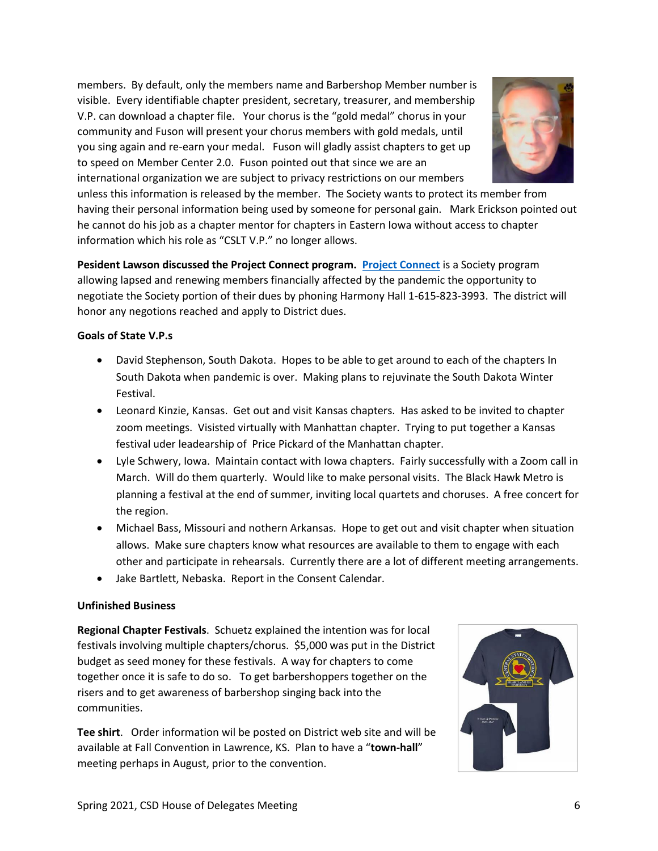members. By default, only the members name and Barbershop Member number is visible. Every identifiable chapter president, secretary, treasurer, and membership V.P. can download a chapter file. Your chorus is the "gold medal" chorus in your community and Fuson will present your chorus members with gold medals, until you sing again and re-earn your medal. Fuson will gladly assist chapters to get up to speed on Member Center 2.0. Fuson pointed out that since we are an international organization we are subject to privacy restrictions on our members



unless this information is released by the member. The Society wants to protect its member from having their personal information being used by someone for personal gain. Mark Erickson pointed out he cannot do his job as a chapter mentor for chapters in Eastern Iowa without access to chapter information which his role as "CSLT V.P." no longer allows.

**Pesident Lawson discussed the Project Connect program. [Project Connect](https://www.barbershop.org/landing-pages/project-connect-engage-new-members-online)** is a Society program allowing lapsed and renewing members financially affected by the pandemic the opportunity to negotiate the Society portion of their dues by phoning Harmony Hall 1-615-823-3993. The district will honor any negotions reached and apply to District dues.

### **Goals of State V.P.s**

- David Stephenson, South Dakota. Hopes to be able to get around to each of the chapters In South Dakota when pandemic is over. Making plans to rejuvinate the South Dakota Winter Festival.
- Leonard Kinzie, Kansas. Get out and visit Kansas chapters. Has asked to be invited to chapter zoom meetings. Visisted virtually with Manhattan chapter. Trying to put together a Kansas festival uder leadearship of Price Pickard of the Manhattan chapter.
- Lyle Schwery, Iowa. Maintain contact with Iowa chapters. Fairly successfully with a Zoom call in March. Will do them quarterly. Would like to make personal visits. The Black Hawk Metro is planning a festival at the end of summer, inviting local quartets and choruses. A free concert for the region.
- Michael Bass, Missouri and nothern Arkansas. Hope to get out and visit chapter when situation allows. Make sure chapters know what resources are available to them to engage with each other and participate in rehearsals. Currently there are a lot of different meeting arrangements.
- Jake Bartlett, Nebaska. Report in the Consent Calendar.

## **Unfinished Business**

**Regional Chapter Festivals**. Schuetz explained the intention was for local festivals involving multiple chapters/chorus. \$5,000 was put in the District budget as seed money for these festivals. A way for chapters to come together once it is safe to do so. To get barbershoppers together on the risers and to get awareness of barbershop singing back into the communities.

**Tee shirt**. Order information wil be posted on District web site and will be available at Fall Convention in Lawrence, KS. Plan to have a "**town-hall**" meeting perhaps in August, prior to the convention.